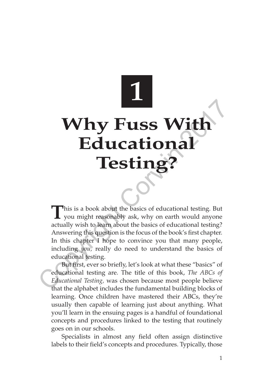# **1 Why Fuss With Educational Testing? Educational**<br> **Educational**<br> **Educational**<br> **Testing?**<br>
Testing?<br>
Testing?<br>
Testing?<br>
Testing?<br>
Testing?<br>
Now might reasonably ask, why on earth would anyone<br>
actually wish to learn about the basics of educational testing

**T**his is a book about the basics of educational testing. But you might reasonably ask, why on earth would anyone actually wish to learn about the basics of educational testing? Answering this question is the focus of the book's first chapter. In this chapter I hope to convince you that many people, including *you,* really do need to understand the basics of educational testing.

But first, ever so briefly, let's look at what these "basics" of educational testing are. The title of this book, *The ABCs of Educational Testing,* was chosen because most people believe that the alphabet includes the fundamental building blocks of learning. Once children have mastered their ABCs, they're usually then capable of learning just about anything. What you'll learn in the ensuing pages is a handful of foundational concepts and procedures linked to the testing that routinely goes on in our schools.

Specialists in almost any field often assign distinctive labels to their field's concepts and procedures. Typically, those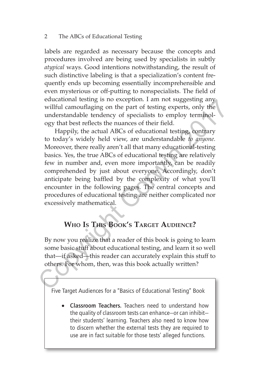labels are regarded as necessary because the concepts and procedures involved are being used by specialists in subtly *atypical* ways. Good intentions notwithstanding, the result of such distinctive labeling is that a specialization's content frequently ends up becoming essentially incomprehensible and even mysterious or off-putting to nonspecialists. The field of educational testing is no exception. I am not suggesting any willful camouflaging on the part of testing experts, only the understandable tendency of specialists to employ terminology that best reflects the nuances of their field.

Happily, the actual ABCs of educational testing, contrary to today's widely held view, are understandable *to anyone.* Moreover, there really aren't all that many educational-testing basics. Yes, the true ABCs of educational testing are relatively few in number and, even more importantly, can be readily comprehended by just about everyone. Accordingly, don't anticipate being baffled by the complexity of what you'll encounter in the following pages. The central concepts and procedures of educational testing are neither complicated nor excessively mathematical. etucational testing is no exception. I aim not suggesting any<br>willful camouflaging on the part of testing experts, only the<br>understandable tendency of specialists to employ terminol-<br>ogy that best reflects the nuances of t

# **Who Is This Book's Target Audience?**

By now you realize that a reader of this book is going to learn some basic stuff about educational testing, and learn it so well that—if asked—this reader can accurately explain this stuff to others. For whom, then, was this book actually written?

Five Target Audiences for a "Basics of Educational Testing" Book

Classroom Teachers. Teachers need to understand how the quality of classroom tests can enhance—or can inhibit their students' learning. Teachers also need to know how to discern whether the external tests they are required to use are in fact suitable for those tests' alleged functions.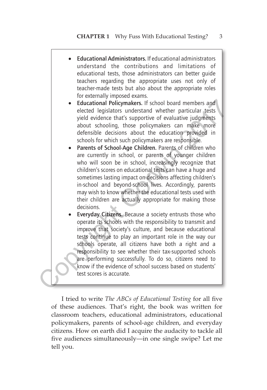- **Educational Administrators.** If educational administrators understand the contributions and limitations of educational tests, those administrators can better guide teachers regarding the appropriate uses not only of teacher-made tests but also about the appropriate roles for externally imposed exams.
- Educational Policymakers. If school board members and elected legislators understand whether particular tests yield evidence that's supportive of evaluative judgments about schooling, those policymakers can make more defensible decisions about the education provided in schools for which such policymakers are responsible.
- Parents of School-Age Children. Parents of children who are currently in school, or parents of younger children who will soon be in school, increasingly recognize that children's scores on educational tests can have a huge and sometimes lasting impact on decisions affecting children's in-school and beyond-school lives. Accordingly, parents may wish to know whether the educational tests used with their children are actually appropriate for making those decisions.
- Everyday Citizens. Because a society entrusts those who operate its schools with the responsibility to transmit and improve that society's culture, and because educational tests continue to play an important role in the way our schools operate, all citizens have both a right and a responsibility to see whether their tax-supported schools are performing successfully. To do so, citizens need to know if the evidence of school success based on students' test scores is accurate. • Educational Policymakers. If school board members and<br>elected legislators understand whether particular tests<br>yield evidence that's supportive of evaluative judgments<br>about schooling, those policymakers can make more<br>def

I tried to write *The ABCs of Educational Testing* for all five of these audiences. That's right, the book was written for classroom teachers, educational administrators, educational policymakers, parents of school-age children, and everyday citizens. How on earth did I acquire the audacity to tackle all five audiences simultaneously—in one single swipe? Let me tell you.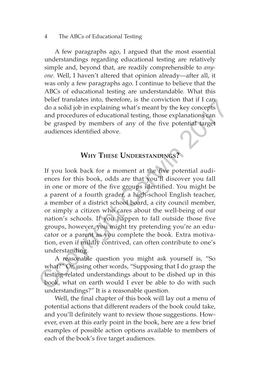A few paragraphs ago, I argued that the most essential understandings regarding educational testing are relatively simple and, beyond that, are readily comprehensible to *anyone.* Well, I haven't altered that opinion already—after all, it was only a few paragraphs ago. I continue to believe that the ABCs of educational testing are understandable. What this belief translates into, therefore, is the conviction that if I can do a solid job in explaining what's meant by the key concepts and procedures of educational testing, those explanations can be grasped by members of any of the five potential target audiences identified above.

# **Why These Understandings?**

If you look back for a moment at the five potential audiences for this book, odds are that you'll discover you fall in one or more of the five groups identified. You might be a parent of a fourth grader, a high-school English teacher, a member of a district school board, a city council member, or simply a citizen who cares about the well-being of our nation's schools. If you happen to fall outside those five groups, however, you might try pretending you're an educator or a parent as you complete the book. Extra motivation, even if mildly contrived, can often contribute to one's understanding. bener translates into, merefore, is the conviction that in can<br>do a solid job in explaining what's meant by the key concepts<br>and procedures of educational testing, those explanations can<br>be grasped by members of any of the

A reasonable question you might ask yourself is, "So what?" Or, using other words, "Supposing that I do grasp the testing-related understandings about to be dished up in this book, what on earth would I ever be able to do with such understandings?" It is a reasonable question.

Well, the final chapter of this book will lay out a menu of potential actions that different readers of the book could take, and you'll definitely want to review those suggestions. However, even at this early point in the book, here are a few brief examples of possible action options available to members of each of the book's five target audiences.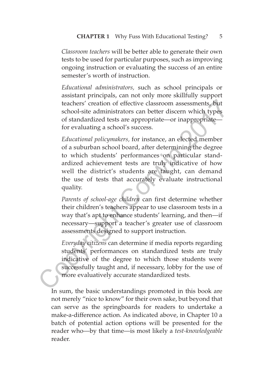*Classroom teachers* will be better able to generate their own tests to be used for particular purposes, such as improving ongoing instruction or evaluating the success of an entire semester's worth of instruction.

*Educational administrators,* such as school principals or assistant principals, can not only more skillfully support teachers' creation of effective classroom assessments, but school-site administrators can better discern which types of standardized tests are appropriate—or inappropriate for evaluating a school's success.

*Educational policymakers,* for instance, an elected member of a suburban school board, after determining the degree to which students' performances on particular standardized achievement tests are truly indicative of how well the district's students are taught, can demand the use of tests that accurately evaluate instructional quality. teachers' creation of effective classroom assessments, but<br>school-site administrators can better discern which types<br>of standardized tests are appropriate—or inappropriate—<br>for evaluating a school's success.<br>*Educational p* 

*Parents of school-age children* can first determine whether their children's teachers appear to use classroom tests in a way that's apt to enhance students' learning, and then—if necessary—support a teacher's greater use of classroom assessments designed to support instruction.

*Everyday citizens* can determine if media reports regarding students' performances on standardized tests are truly indicative of the degree to which those students were successfully taught and, if necessary, lobby for the use of more evaluatively accurate standardized tests.

In sum, the basic understandings promoted in this book are not merely "nice to know" for their own sake, but beyond that can serve as the springboards for readers to undertake a make-a-difference action. As indicated above, in Chapter 10 a batch of potential action options will be presented for the reader who—by that time—is most likely a *test-knowledgeable* reader.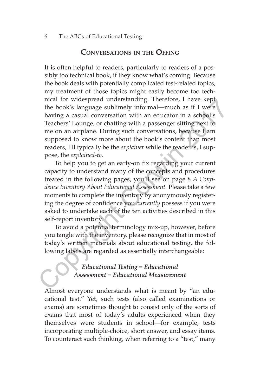#### **Conversations in the Offing**

It is often helpful to readers, particularly to readers of a possibly too technical book, if they know what's coming. Because the book deals with potentially complicated test-related topics, my treatment of those topics might easily become too technical for widespread understanding. Therefore, I have kept the book's language sublimely informal—much as if I were having a casual conversation with an educator in a school's Teachers' Lounge, or chatting with a passenger sitting next to me on an airplane. During such conversations, because I am supposed to know more about the book's content than most readers, I'll typically be the *explainer* while the reader is, I suppose, the *explained-to.*

To help you to get an early-on fix regarding your current capacity to understand many of the concepts and procedures treated in the following pages, you'll see on page 8 *A Confidence Inventory About Educational Assessment.* Please take a few moments to complete the inventory by anonymously registering the degree of confidence you *currently* possess if you were asked to undertake each of the ten activities described in this self-report inventory. mean for winespread unterstanding. Therefore, I nave a close the book's language sublimely informal—much as if I were<br>having a casual conversation with an educator in a school's<br>Teachers' Lounge, or chatting with a passen

To avoid a potential terminology mix-up, however, before you tangle with the inventory, please recognize that in most of today's written materials about educational testing, the following labels are regarded as essentially interchangeable:

### *Educational Testing* = *Educational Assessment* = *Educational Measurement*

Almost everyone understands what is meant by "an educational test." Yet, such tests (also called examinations or exams) are sometimes thought to consist only of the sorts of exams that most of today's adults experienced when they themselves were students in school—for example, tests incorporating multiple-choice, short answer, and essay items. To counteract such thinking, when referring to a "test," many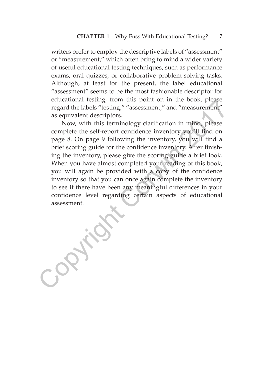writers prefer to employ the descriptive labels of "assessment" or "measurement," which often bring to mind a wider variety of useful educational testing techniques, such as performance exams, oral quizzes, or collaborative problem-solving tasks. Although, at least for the present, the label educational "assessment" seems to be the most fashionable descriptor for educational testing, from this point on in the book, please regard the labels "testing," "assessment," and "measurement" as equivalent descriptors.

Now, with this terminology clarification in mind, please complete the self-report confidence inventory you'll find on page 8. On page 9 following the inventory, you will find a brief scoring guide for the confidence inventory. After finishing the inventory, please give the scoring guide a brief look. When you have almost completed your reading of this book, you will again be provided with a copy of the confidence inventory so that you can once again complete the inventory to see if there have been any meaningful differences in your confidence level regarding certain aspects of educational assessment. educational resume, rom thus point on in the book, pease<br>regard the labels "testing," "assessment," and "measurement"<br>as equivalent descriptors.<br>Now, with this terminology clarification in mind, please<br>complete the self-re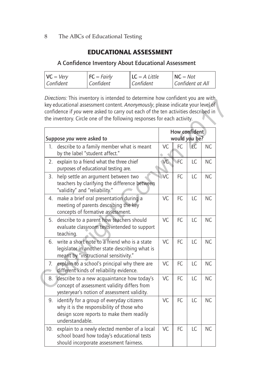## EDUCATIONAL ASSESSMENT

### A Confidence Inventory About Educational Assessment

| $VC = Verv$ | $FC = Fairly$ | $\mathsf{LC} = \mathsf{A}$ Little | $NC = Not$       |
|-------------|---------------|-----------------------------------|------------------|
| Confident   | Confident     | Confident                         | Confident at All |

*Directions:* This inventory is intended to determine how confident you are with key educational assessment content. *Anonymously*, please indicate your level of confidence if *you* were asked to carry out each of the ten activities described in the inventory. Circle one of the following responses for each activity.

| Suppose you were asked to |                                                                                                                                                        | How confident<br>would you be? |    |    |           |
|---------------------------|--------------------------------------------------------------------------------------------------------------------------------------------------------|--------------------------------|----|----|-----------|
| 1.                        | describe to a family member what is meant<br>by the label "student affect."                                                                            | VC                             | FC | LC | <b>NC</b> |
| 2.                        | explain to a friend what the three chief<br>purposes of educational testing are.                                                                       | <b>VC</b>                      | FC | LC | <b>NC</b> |
| 3.                        | help settle an argument between two<br>teachers by clarifying the difference between<br>"validity" and "reliability."                                  | VC                             | FC | LC | NC.       |
| 4.                        | make a brief oral presentation during a<br>meeting of parents describing the key<br>concepts of formative assessment.                                  | VC                             | FC | LC | <b>NC</b> |
| 5.                        | describe to a parent how teachers should<br>evaluate classroom tests intended to support<br>teaching.                                                  | VC                             | FC | LC | <b>NC</b> |
| 6.                        | write a short note to a friend who is a state<br>legislator in another state describing what is<br>meant by "instructional sensitivity."               | VC                             | FC | LC | NC        |
| 7.                        | explain to a school's principal why there are<br>different kinds of reliability evidence.                                                              | VC                             | FC | LC | <b>NC</b> |
| 8.                        | describe to a new acquaintance how today's<br>concept of assessment validity differs from<br>yesteryear's notion of assessment validity.               | VC                             | FC | LC | <b>NC</b> |
| 9.                        | identify for a group of everyday citizens<br>why it is the responsibility of those who<br>design score reports to make them readily<br>understandable. | VC                             | FC | LC | <b>NC</b> |
| 10.                       | explain to a newly elected member of a local<br>school board how today's educational tests<br>should incorporate assessment fairness.                  | <b>VC</b>                      | FC | LC | <b>NC</b> |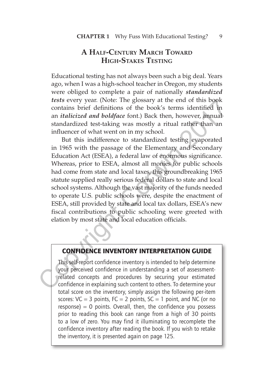## **A Half-Century March Toward High-Stakes Testing**

Educational testing has not always been such a big deal. Years ago, when I was a high-school teacher in Oregon, my students were obliged to complete a pair of nationally *standardized tests* every year. (Note: The glossary at the end of this book contains brief definitions of the book's terms identified in an *italicized and boldface* font.) Back then, however, annual standardized test-taking was mostly a ritual rather than an influencer of what went on in my school.

But this indifference to standardized testing evaporated in 1965 with the passage of the Elementary and Secondary Education Act (ESEA), a federal law of enormous significance. Whereas, prior to ESEA, almost all monies for public schools had come from state and local taxes, this groundbreaking 1965 statute supplied really serious federal dollars to state and local school systems. Although the vast majority of the funds needed to operate U.S. public schools were, despite the enactment of ESEA, still provided by state and local tax dollars, ESEA's new fiscal contributions to public schooling were greeted with elation by most state and local education officials. rests every year. (INOte: The goossary at the end of this brief definitions of the book's terms identified in<br>an *italicized and boldface* font.) Back then, however, annual<br>standardized test-taking was mostly a ritual rath

## CONFIDENCE INVENTORY INTERPRETATION GUIDE

This self-report confidence inventory is intended to help determine your perceived confidence in understanding a set of assessmentrelated concepts and procedures by securing your estimated confidence in explaining such content to others. To determine your total score on the inventory, simply assign the following per-item scores:  $VC = 3$  points,  $FC = 2$  points,  $SC = 1$  point, and NC (or no  $response$ ) = 0 points. Overall, then, the confidence you possess prior to reading this book can range from a high of 30 points to a low of zero. You may find it illuminating to recomplete the confidence inventory after reading the book. If you wish to retake the inventory, it is presented again on page 125.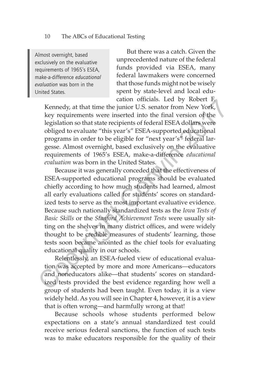Almost overnight, based exclusively on the evaluative requirements of 1965's ESEA, make-a-difference *educational evaluation* was born in the United States.

But there was a catch. Given the unprecedented nature of the federal funds provided via ESEA, many federal lawmakers were concerned that those funds might not be wisely spent by state-level and local education officials. Led by Robert F.

Kennedy, at that time the junior U.S. senator from New York, key requirements were inserted into the final version of the legislation so that state recipients of federal ESEA dollars were obliged to evaluate "this year's" ESEA-supported educational programs in order to be eligible for "next year's" federal largesse. Almost overnight, based exclusively on the evaluative requirements of 1965's ESEA, make-a-difference *educational evaluation* was born in the United States.

Because it was generally conceded that the effectiveness of ESEA-supported educational programs should be evaluated chiefly according to how much students had learned, almost all early evaluations called for students' scores on standardized tests to serve as the most important evaluative evidence. Because such nationally standardized tests as the *Iowa Tests of Basic Skills* or the *Stanford Achievement Tests* were usually sitting on the shelves in many district offices, and were widely thought to be credible measures of students' learning, those tests soon became anointed as the chief tools for evaluating educational quality in our schools. Kennedy, at that time the union U.S. senator from New York, key requirements were inserted into the final version of the legislation so that state recipients of federal ESEA dollars were obliged to evaluate "this year's"

Relentlessly, an ESEA-fueled view of educational evaluation was accepted by more and more Americans—educators and noneducators alike—that students' scores on standardized tests provided the best evidence regarding how well a group of students had been taught. Even today, it is a view widely held. As you will see in Chapter 4, however, it is a view that is often wrong—and harmfully wrong at that!

Because schools whose students performed below expectations on a state's annual standardized test could receive serious federal sanctions, the function of such tests was to make educators responsible for the quality of their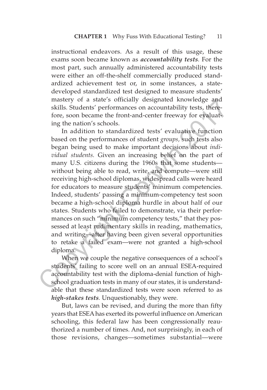instructional endeavors. As a result of this usage, these exams soon became known as *accountability tests.* For the most part, such annually administered accountability tests were either an off-the-shelf commercially produced standardized achievement test or, in some instances, a statedeveloped standardized test designed to measure students' mastery of a state's officially designated knowledge and skills. Students' performances on accountability tests, therefore, soon became the front-and-center freeway for evaluating the nation's schools.

In addition to standardized tests' evaluative function based on the performances of student *groups,* such tests also began being used to make important decisions about *individual students.* Given an increasing belief on the part of many U.S. citizens during the 1960s that some students without being able to read, write, and compute—were still receiving high-school diplomas, widespread calls were heard for educators to measure students' minimum competencies. Indeed, students' passing a minimum-competency test soon became a high-school diploma hurdle in about half of our states. Students who failed to demonstrate, via their performances on such "minimum competency tests," that they possessed at least rudimentary skills in reading, mathematics, and writing—after having been given several opportunities to retake a failed exam—were not granted a high-school diploma. mastery or a state is omicially designated anowinedge and<br>skills. Students' performances on accountability tests, therefore, soon became the front-and-center freeway for evaluating the nation's schools.<br>In addition to stan

When we couple the negative consequences of a school's students' failing to score well on an annual ESEA-required accountability test with the diploma-denial function of highschool graduation tests in many of our states, it is understandable that these standardized tests were soon referred to as *high-stakes tests.* Unquestionably, they were.

But, laws can be revised, and during the more than fifty years that ESEA has exerted its powerful influence on American schooling, this federal law has been congressionally reauthorized a number of times. And, not surprisingly, in each of those revisions, changes—sometimes substantial—were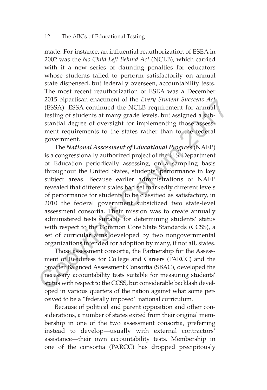made. For instance, an influential reauthorization of ESEA in 2002 was the *No Child Left Behind Act* (NCLB), which carried with it a new series of daunting penalties for educators whose students failed to perform satisfactorily on annual state dispensed, but federally overseen, accountability tests. The most recent reauthorization of ESEA was a December 2015 bipartisan enactment of the *Every Student Succeeds Act*  (ESSA). ESSA continued the NCLB requirement for annual testing of students at many grade levels, but assigned a substantial degree of oversight for implementing those assessment requirements to the states rather than to the federal government.

The *National Assessment of Educational Progress* (NAEP) is a congressionally authorized project of the U.S. Department of Education periodically assessing, on a sampling basis throughout the United States, students' performance in key subject areas. Because earlier administrations of NAEP revealed that different states had set markedly different levels of performance for students to be classified as satisfactory, in 2010 the federal government subsidized two state-level assessment consortia. Their mission was to create annually administered tests suitable for determining students' status with respect to the Common Core State Standards (CCSS), a set of curricular aims developed by two nongovernmental organizations intended for adoption by many, if not all, states. 2013 big and actment of the *Every Stutent Success AC*<br>(ESSA). ESSA continued the NCLB requirement for annual<br>testing of students at many grade levels, but assigned a sub-<br>stantial degree of oversight for implementing thos

Those assessment consortia, the Partnership for the Assessment of Readiness for College and Careers (PARCC) and the Smarter Balanced Assessment Consortia (SBAC), developed the necessary accountability tests suitable for measuring students' status with respect to the CCSS, but considerable backlash developed in various quarters of the nation against what some perceived to be a "federally imposed" national curriculum.

Because of political and parent opposition and other considerations, a number of states exited from their original membership in one of the two assessment consortia, preferring instead to develop—usually with external contractors' assistance—their own accountability tests. Membership in one of the consortia (PARCC) has dropped precipitously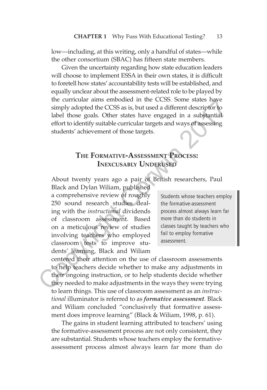low—including, at this writing, only a handful of states—while the other consortium (SBAC) has fifteen state members.

Given the uncertainty regarding how state education leaders will choose to implement ESSA in their own states, it is difficult to foretell how states' accountability tests will be established, and equally unclear about the assessment-related role to be played by the curricular aims embodied in the CCSS. Some states have simply adopted the CCSS as is, but used a different descriptor to label those goals. Other states have engaged in a substantial effort to identify suitable curricular targets and ways of assessing students' achievement of those targets.

## **The Formative-Assessment Process: Inexcusably Underused**

About twenty years ago a pair of British researchers, Paul

Black and Dylan Wiliam, published a comprehensive review of roughly 250 sound research studies dealing with the *instructional* dividends of classroom assessment. Based on a meticulous review of studies involving teachers who employed classroom tests to improve students' learning, Black and Wiliam The Correctian ams embodied in the CCSS. Some states have since the correction in the correction and the correct to label those goals. Other states have engaged in a substantial effort to identify suitable curricular targe

Students whose teachers employ the formative-assessment process almost always learn far more than do students in classes taught by teachers who fail to employ formative assessment.

centered their attention on the use of classroom assessments to help teachers decide whether to make any adjustments in their ongoing instruction, or to help students decide whether they needed to make adjustments in the ways they were trying to learn things. This use of classroom assessment as an *instructional* illuminator is referred to as *formative assessment.* Black and Wiliam concluded "conclusively that formative assessment does improve learning" (Black & Wiliam, 1998, p. 61).

The gains in student learning attributed to teachers' using the formative-assessment process are not only consistent, they are substantial. Students whose teachers employ the formativeassessment process almost always learn far more than do